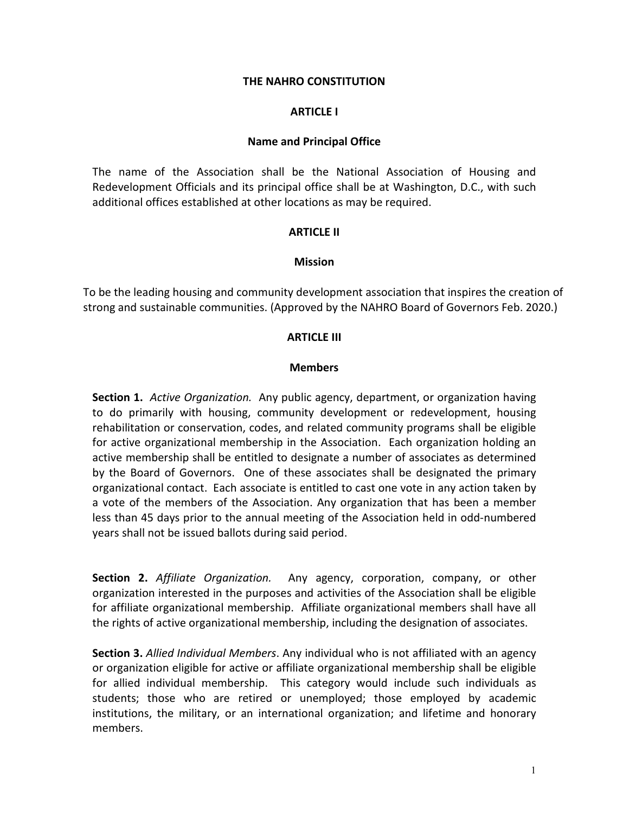### **THE NAHRO CONSTITUTION**

#### **ARTICLE I**

#### **Name and Principal Office**

The name of the Association shall be the National Association of Housing and Redevelopment Officials and its principal office shall be at Washington, D.C., with such additional offices established at other locations as may be required.

#### **ARTICLE II**

#### **Mission**

To be the leading housing and community development association that inspires the creation of strong and sustainable communities. (Approved by the NAHRO Board of Governors Feb. 2020.)

#### **ARTICLE III**

#### **Members**

**Section 1.** *Active Organization.* Any public agency, department, or organization having to do primarily with housing, community development or redevelopment, housing rehabilitation or conservation, codes, and related community programs shall be eligible for active organizational membership in the Association. Each organization holding an active membership shall be entitled to designate a number of associates as determined by the Board of Governors. One of these associates shall be designated the primary organizational contact. Each associate is entitled to cast one vote in any action taken by a vote of the members of the Association. Any organization that has been a member less than 45 days prior to the annual meeting of the Association held in odd-numbered years shall not be issued ballots during said period.

**Section 2.** *Affiliate Organization.* Any agency, corporation, company, or other organization interested in the purposes and activities of the Association shall be eligible for affiliate organizational membership. Affiliate organizational members shall have all the rights of active organizational membership, including the designation of associates.

**Section 3.** *Allied Individual Members*. Any individual who is not affiliated with an agency or organization eligible for active or affiliate organizational membership shall be eligible for allied individual membership. This category would include such individuals as students; those who are retired or unemployed; those employed by academic institutions, the military, or an international organization; and lifetime and honorary members.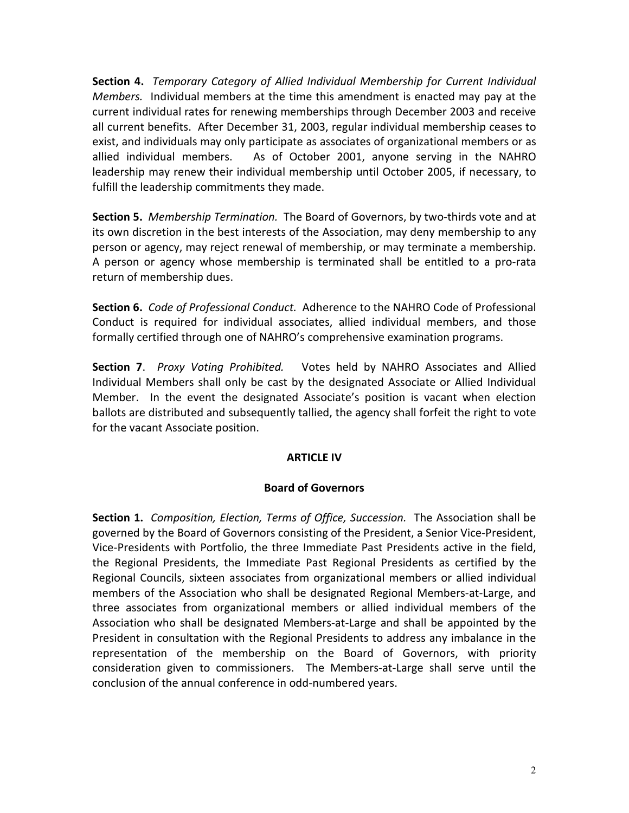**Section 4.** *Temporary Category of Allied Individual Membership for Current Individual Members.* Individual members at the time this amendment is enacted may pay at the current individual rates for renewing memberships through December 2003 and receive all current benefits. After December 31, 2003, regular individual membership ceases to exist, and individuals may only participate as associates of organizational members or as allied individual members. As of October 2001, anyone serving in the NAHRO leadership may renew their individual membership until October 2005, if necessary, to fulfill the leadership commitments they made.

**Section 5.** *Membership Termination.* The Board of Governors, by two-thirds vote and at its own discretion in the best interests of the Association, may deny membership to any person or agency, may reject renewal of membership, or may terminate a membership. A person or agency whose membership is terminated shall be entitled to a pro-rata return of membership dues.

**Section 6.** *Code of Professional Conduct.* Adherence to the NAHRO Code of Professional Conduct is required for individual associates, allied individual members, and those formally certified through one of NAHRO's comprehensive examination programs.

**Section 7**. *Proxy Voting Prohibited.* Votes held by NAHRO Associates and Allied Individual Members shall only be cast by the designated Associate or Allied Individual Member. In the event the designated Associate's position is vacant when election ballots are distributed and subsequently tallied, the agency shall forfeit the right to vote for the vacant Associate position.

# **ARTICLE IV**

# **Board of Governors**

**Section 1.** *Composition, Election, Terms of Office, Succession.* The Association shall be governed by the Board of Governors consisting of the President, a Senior Vice-President, Vice-Presidents with Portfolio, the three Immediate Past Presidents active in the field, the Regional Presidents, the Immediate Past Regional Presidents as certified by the Regional Councils, sixteen associates from organizational members or allied individual members of the Association who shall be designated Regional Members-at-Large, and three associates from organizational members or allied individual members of the Association who shall be designated Members-at-Large and shall be appointed by the President in consultation with the Regional Presidents to address any imbalance in the representation of the membership on the Board of Governors, with priority consideration given to commissioners. The Members-at-Large shall serve until the conclusion of the annual conference in odd-numbered years.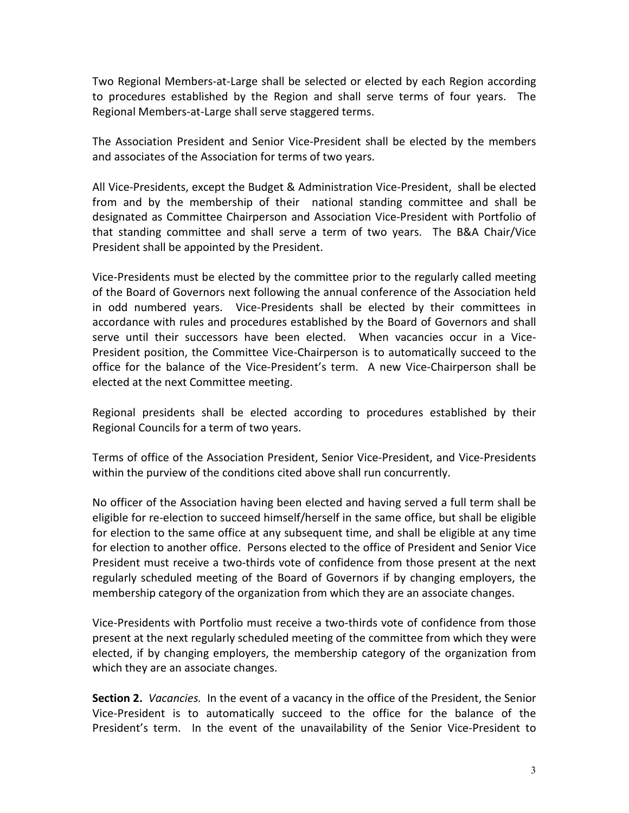Two Regional Members-at-Large shall be selected or elected by each Region according to procedures established by the Region and shall serve terms of four years. The Regional Members-at-Large shall serve staggered terms.

The Association President and Senior Vice-President shall be elected by the members and associates of the Association for terms of two years.

All Vice-Presidents, except the Budget & Administration Vice-President, shall be elected from and by the membership of their national standing committee and shall be designated as Committee Chairperson and Association Vice-President with Portfolio of that standing committee and shall serve a term of two years. The B&A Chair/Vice President shall be appointed by the President.

Vice-Presidents must be elected by the committee prior to the regularly called meeting of the Board of Governors next following the annual conference of the Association held in odd numbered years. Vice-Presidents shall be elected by their committees in accordance with rules and procedures established by the Board of Governors and shall serve until their successors have been elected. When vacancies occur in a Vice-President position, the Committee Vice-Chairperson is to automatically succeed to the office for the balance of the Vice-President's term. A new Vice-Chairperson shall be elected at the next Committee meeting.

Regional presidents shall be elected according to procedures established by their Regional Councils for a term of two years.

Terms of office of the Association President, Senior Vice-President, and Vice-Presidents within the purview of the conditions cited above shall run concurrently.

No officer of the Association having been elected and having served a full term shall be eligible for re-election to succeed himself/herself in the same office, but shall be eligible for election to the same office at any subsequent time, and shall be eligible at any time for election to another office. Persons elected to the office of President and Senior Vice President must receive a two-thirds vote of confidence from those present at the next regularly scheduled meeting of the Board of Governors if by changing employers, the membership category of the organization from which they are an associate changes.

Vice-Presidents with Portfolio must receive a two-thirds vote of confidence from those present at the next regularly scheduled meeting of the committee from which they were elected, if by changing employers, the membership category of the organization from which they are an associate changes.

**Section 2.** *Vacancies.* In the event of a vacancy in the office of the President, the Senior Vice-President is to automatically succeed to the office for the balance of the President's term. In the event of the unavailability of the Senior Vice-President to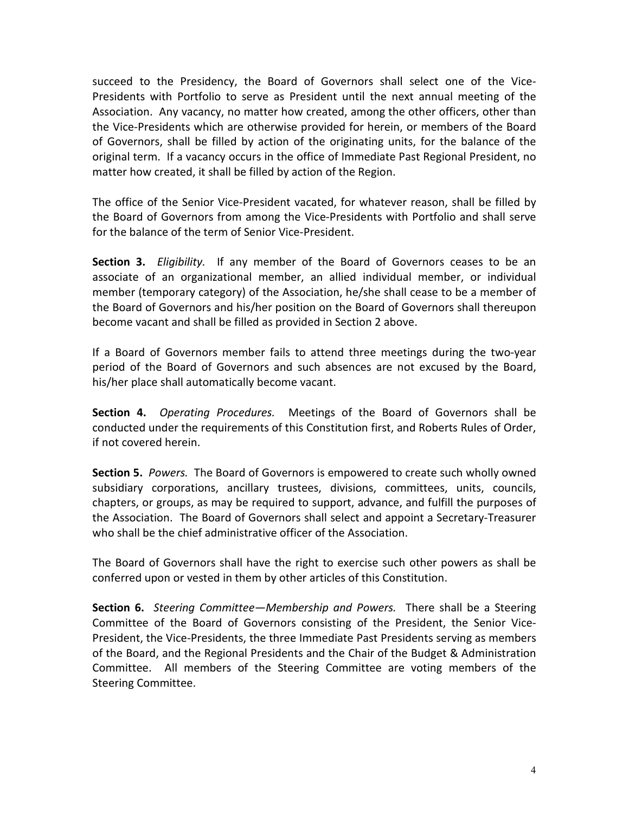succeed to the Presidency, the Board of Governors shall select one of the Vice-Presidents with Portfolio to serve as President until the next annual meeting of the Association. Any vacancy, no matter how created, among the other officers, other than the Vice-Presidents which are otherwise provided for herein, or members of the Board of Governors, shall be filled by action of the originating units, for the balance of the original term. If a vacancy occurs in the office of Immediate Past Regional President, no matter how created, it shall be filled by action of the Region.

The office of the Senior Vice-President vacated, for whatever reason, shall be filled by the Board of Governors from among the Vice-Presidents with Portfolio and shall serve for the balance of the term of Senior Vice-President.

**Section 3.** *Eligibility.* If any member of the Board of Governors ceases to be an associate of an organizational member, an allied individual member, or individual member (temporary category) of the Association, he/she shall cease to be a member of the Board of Governors and his/her position on the Board of Governors shall thereupon become vacant and shall be filled as provided in Section 2 above.

If a Board of Governors member fails to attend three meetings during the two-year period of the Board of Governors and such absences are not excused by the Board, his/her place shall automatically become vacant.

**Section 4.** *Operating Procedures.* Meetings of the Board of Governors shall be conducted under the requirements of this Constitution first, and Roberts Rules of Order, if not covered herein.

**Section 5.** *Powers.* The Board of Governors is empowered to create such wholly owned subsidiary corporations, ancillary trustees, divisions, committees, units, councils, chapters, or groups, as may be required to support, advance, and fulfill the purposes of the Association. The Board of Governors shall select and appoint a Secretary-Treasurer who shall be the chief administrative officer of the Association.

The Board of Governors shall have the right to exercise such other powers as shall be conferred upon or vested in them by other articles of this Constitution.

**Section 6.** *Steering Committee—Membership and Powers.* There shall be a Steering Committee of the Board of Governors consisting of the President, the Senior Vice-President, the Vice-Presidents, the three Immediate Past Presidents serving as members of the Board, and the Regional Presidents and the Chair of the Budget & Administration Committee. All members of the Steering Committee are voting members of the Steering Committee.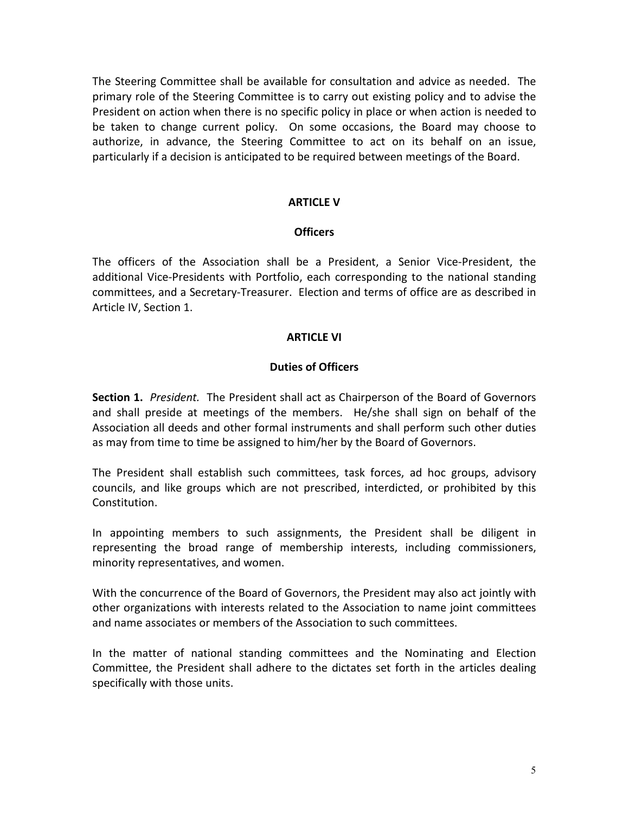The Steering Committee shall be available for consultation and advice as needed. The primary role of the Steering Committee is to carry out existing policy and to advise the President on action when there is no specific policy in place or when action is needed to be taken to change current policy. On some occasions, the Board may choose to authorize, in advance, the Steering Committee to act on its behalf on an issue, particularly if a decision is anticipated to be required between meetings of the Board.

## **ARTICLE V**

### **Officers**

The officers of the Association shall be a President, a Senior Vice-President, the additional Vice-Presidents with Portfolio, each corresponding to the national standing committees, and a Secretary-Treasurer. Election and terms of office are as described in Article IV, Section 1.

### **ARTICLE VI**

## **Duties of Officers**

**Section 1.** *President.* The President shall act as Chairperson of the Board of Governors and shall preside at meetings of the members. He/she shall sign on behalf of the Association all deeds and other formal instruments and shall perform such other duties as may from time to time be assigned to him/her by the Board of Governors.

The President shall establish such committees, task forces, ad hoc groups, advisory councils, and like groups which are not prescribed, interdicted, or prohibited by this Constitution.

In appointing members to such assignments, the President shall be diligent in representing the broad range of membership interests, including commissioners, minority representatives, and women.

With the concurrence of the Board of Governors, the President may also act jointly with other organizations with interests related to the Association to name joint committees and name associates or members of the Association to such committees.

In the matter of national standing committees and the Nominating and Election Committee, the President shall adhere to the dictates set forth in the articles dealing specifically with those units.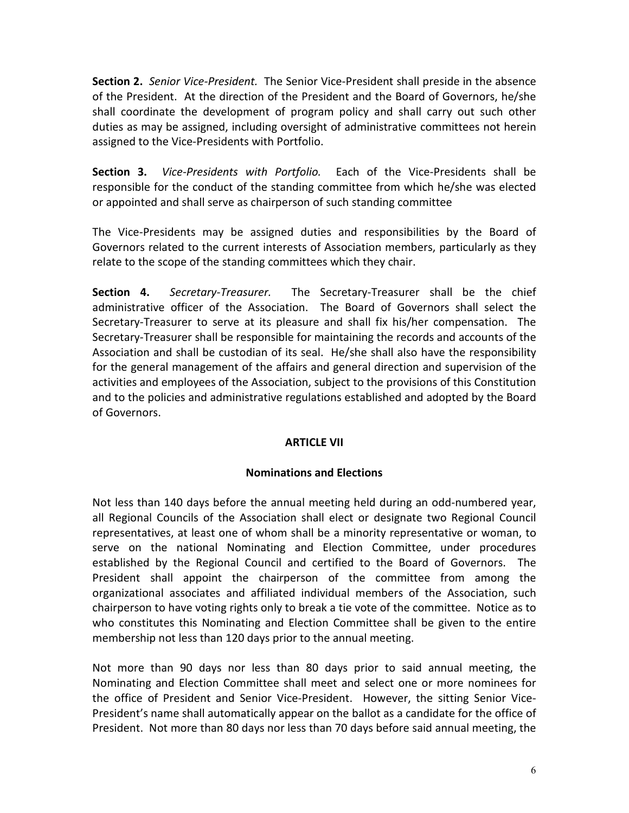**Section 2.** *Senior Vice-President.* The Senior Vice-President shall preside in the absence of the President. At the direction of the President and the Board of Governors, he/she shall coordinate the development of program policy and shall carry out such other duties as may be assigned, including oversight of administrative committees not herein assigned to the Vice-Presidents with Portfolio.

**Section 3.** *Vice-Presidents with Portfolio.* Each of the Vice-Presidents shall be responsible for the conduct of the standing committee from which he/she was elected or appointed and shall serve as chairperson of such standing committee

The Vice-Presidents may be assigned duties and responsibilities by the Board of Governors related to the current interests of Association members, particularly as they relate to the scope of the standing committees which they chair.

**Section 4.** *Secretary-Treasurer.* The Secretary-Treasurer shall be the chief administrative officer of the Association. The Board of Governors shall select the Secretary-Treasurer to serve at its pleasure and shall fix his/her compensation. The Secretary-Treasurer shall be responsible for maintaining the records and accounts of the Association and shall be custodian of its seal. He/she shall also have the responsibility for the general management of the affairs and general direction and supervision of the activities and employees of the Association, subject to the provisions of this Constitution and to the policies and administrative regulations established and adopted by the Board of Governors.

# **ARTICLE VII**

# **Nominations and Elections**

Not less than 140 days before the annual meeting held during an odd-numbered year, all Regional Councils of the Association shall elect or designate two Regional Council representatives, at least one of whom shall be a minority representative or woman, to serve on the national Nominating and Election Committee, under procedures established by the Regional Council and certified to the Board of Governors. The President shall appoint the chairperson of the committee from among the organizational associates and affiliated individual members of the Association, such chairperson to have voting rights only to break a tie vote of the committee. Notice as to who constitutes this Nominating and Election Committee shall be given to the entire membership not less than 120 days prior to the annual meeting.

Not more than 90 days nor less than 80 days prior to said annual meeting, the Nominating and Election Committee shall meet and select one or more nominees for the office of President and Senior Vice-President. However, the sitting Senior Vice-President's name shall automatically appear on the ballot as a candidate for the office of President. Not more than 80 days nor less than 70 days before said annual meeting, the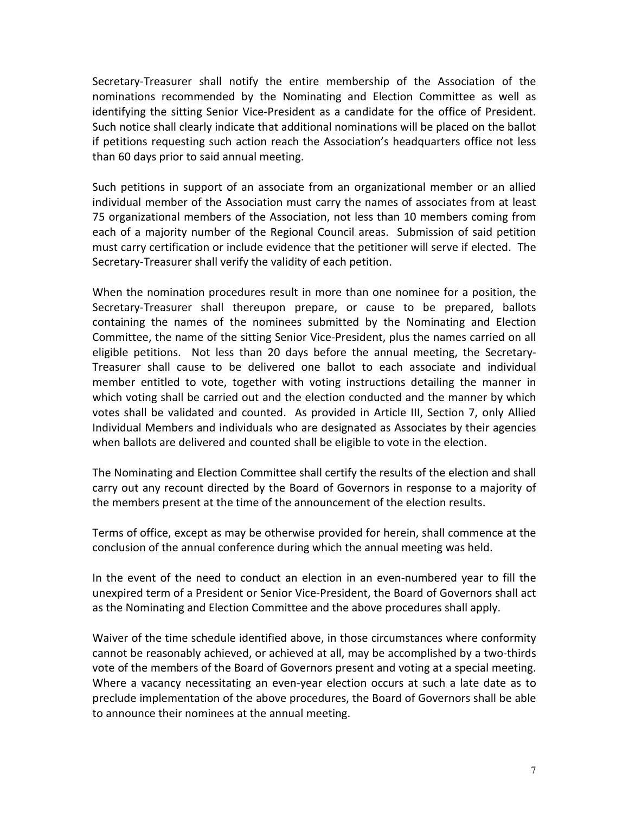Secretary-Treasurer shall notify the entire membership of the Association of the nominations recommended by the Nominating and Election Committee as well as identifying the sitting Senior Vice-President as a candidate for the office of President. Such notice shall clearly indicate that additional nominations will be placed on the ballot if petitions requesting such action reach the Association's headquarters office not less than 60 days prior to said annual meeting.

Such petitions in support of an associate from an organizational member or an allied individual member of the Association must carry the names of associates from at least 75 organizational members of the Association, not less than 10 members coming from each of a majority number of the Regional Council areas. Submission of said petition must carry certification or include evidence that the petitioner will serve if elected. The Secretary-Treasurer shall verify the validity of each petition.

When the nomination procedures result in more than one nominee for a position, the Secretary-Treasurer shall thereupon prepare, or cause to be prepared, ballots containing the names of the nominees submitted by the Nominating and Election Committee, the name of the sitting Senior Vice-President, plus the names carried on all eligible petitions. Not less than 20 days before the annual meeting, the Secretary-Treasurer shall cause to be delivered one ballot to each associate and individual member entitled to vote, together with voting instructions detailing the manner in which voting shall be carried out and the election conducted and the manner by which votes shall be validated and counted. As provided in Article III, Section 7, only Allied Individual Members and individuals who are designated as Associates by their agencies when ballots are delivered and counted shall be eligible to vote in the election.

The Nominating and Election Committee shall certify the results of the election and shall carry out any recount directed by the Board of Governors in response to a majority of the members present at the time of the announcement of the election results.

Terms of office, except as may be otherwise provided for herein, shall commence at the conclusion of the annual conference during which the annual meeting was held.

In the event of the need to conduct an election in an even-numbered year to fill the unexpired term of a President or Senior Vice-President, the Board of Governors shall act as the Nominating and Election Committee and the above procedures shall apply.

Waiver of the time schedule identified above, in those circumstances where conformity cannot be reasonably achieved, or achieved at all, may be accomplished by a two-thirds vote of the members of the Board of Governors present and voting at a special meeting. Where a vacancy necessitating an even-year election occurs at such a late date as to preclude implementation of the above procedures, the Board of Governors shall be able to announce their nominees at the annual meeting.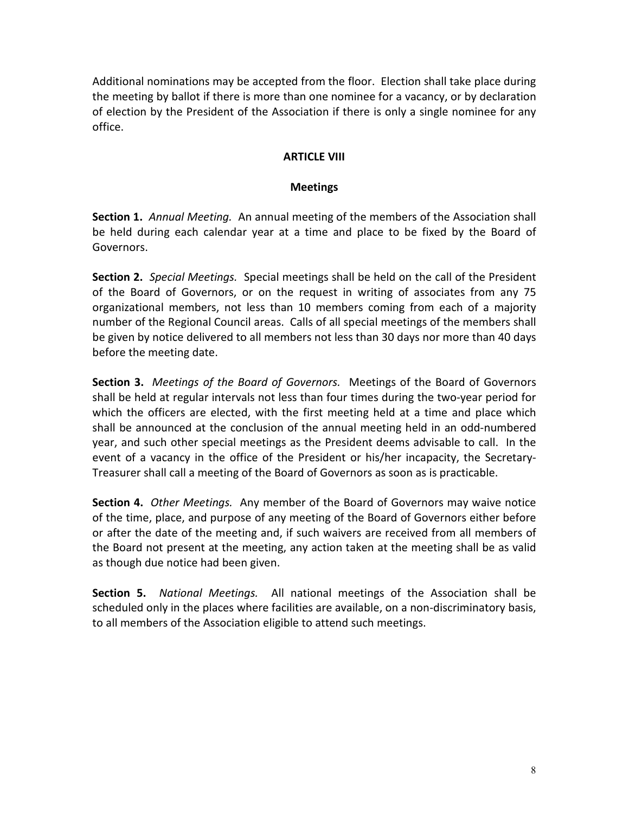Additional nominations may be accepted from the floor. Election shall take place during the meeting by ballot if there is more than one nominee for a vacancy, or by declaration of election by the President of the Association if there is only a single nominee for any office.

# **ARTICLE VIII**

# **Meetings**

**Section 1.** *Annual Meeting.* An annual meeting of the members of the Association shall be held during each calendar year at a time and place to be fixed by the Board of Governors.

**Section 2.** *Special Meetings.* Special meetings shall be held on the call of the President of the Board of Governors, or on the request in writing of associates from any 75 organizational members, not less than 10 members coming from each of a majority number of the Regional Council areas. Calls of all special meetings of the members shall be given by notice delivered to all members not less than 30 days nor more than 40 days before the meeting date.

**Section 3.** *Meetings of the Board of Governors.* Meetings of the Board of Governors shall be held at regular intervals not less than four times during the two-year period for which the officers are elected, with the first meeting held at a time and place which shall be announced at the conclusion of the annual meeting held in an odd-numbered year, and such other special meetings as the President deems advisable to call. In the event of a vacancy in the office of the President or his/her incapacity, the Secretary-Treasurer shall call a meeting of the Board of Governors as soon as is practicable.

**Section 4.** *Other Meetings.* Any member of the Board of Governors may waive notice of the time, place, and purpose of any meeting of the Board of Governors either before or after the date of the meeting and, if such waivers are received from all members of the Board not present at the meeting, any action taken at the meeting shall be as valid as though due notice had been given.

**Section 5.** *National Meetings.* All national meetings of the Association shall be scheduled only in the places where facilities are available, on a non-discriminatory basis, to all members of the Association eligible to attend such meetings.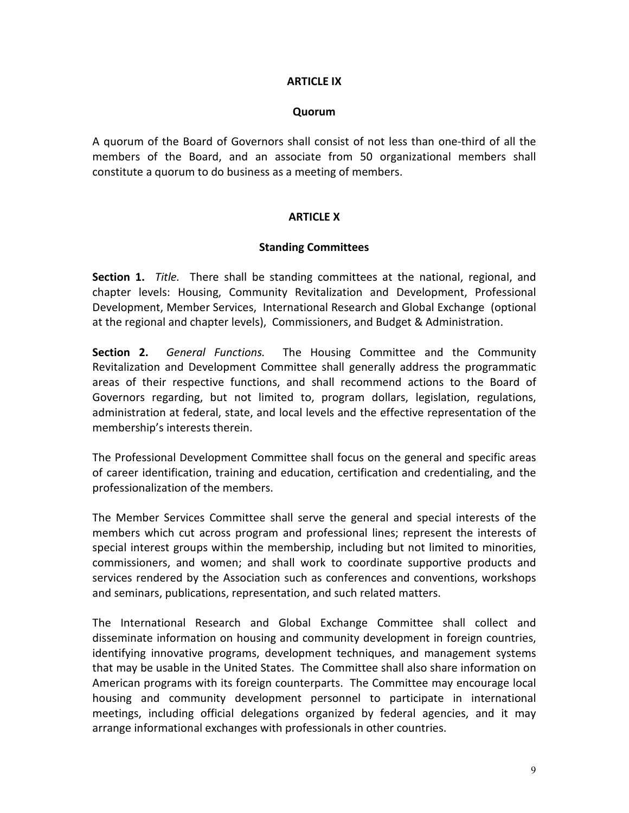## **ARTICLE IX**

### **Quorum**

A quorum of the Board of Governors shall consist of not less than one-third of all the members of the Board, and an associate from 50 organizational members shall constitute a quorum to do business as a meeting of members.

# **ARTICLE X**

## **Standing Committees**

**Section 1.** *Title.* There shall be standing committees at the national, regional, and chapter levels: Housing, Community Revitalization and Development, Professional Development, Member Services, International Research and Global Exchange (optional at the regional and chapter levels), Commissioners, and Budget & Administration.

**Section 2.** *General Functions.* The Housing Committee and the Community Revitalization and Development Committee shall generally address the programmatic areas of their respective functions, and shall recommend actions to the Board of Governors regarding, but not limited to, program dollars, legislation, regulations, administration at federal, state, and local levels and the effective representation of the membership's interests therein.

The Professional Development Committee shall focus on the general and specific areas of career identification, training and education, certification and credentialing, and the professionalization of the members.

The Member Services Committee shall serve the general and special interests of the members which cut across program and professional lines; represent the interests of special interest groups within the membership, including but not limited to minorities, commissioners, and women; and shall work to coordinate supportive products and services rendered by the Association such as conferences and conventions, workshops and seminars, publications, representation, and such related matters.

The International Research and Global Exchange Committee shall collect and disseminate information on housing and community development in foreign countries, identifying innovative programs, development techniques, and management systems that may be usable in the United States. The Committee shall also share information on American programs with its foreign counterparts. The Committee may encourage local housing and community development personnel to participate in international meetings, including official delegations organized by federal agencies, and it may arrange informational exchanges with professionals in other countries.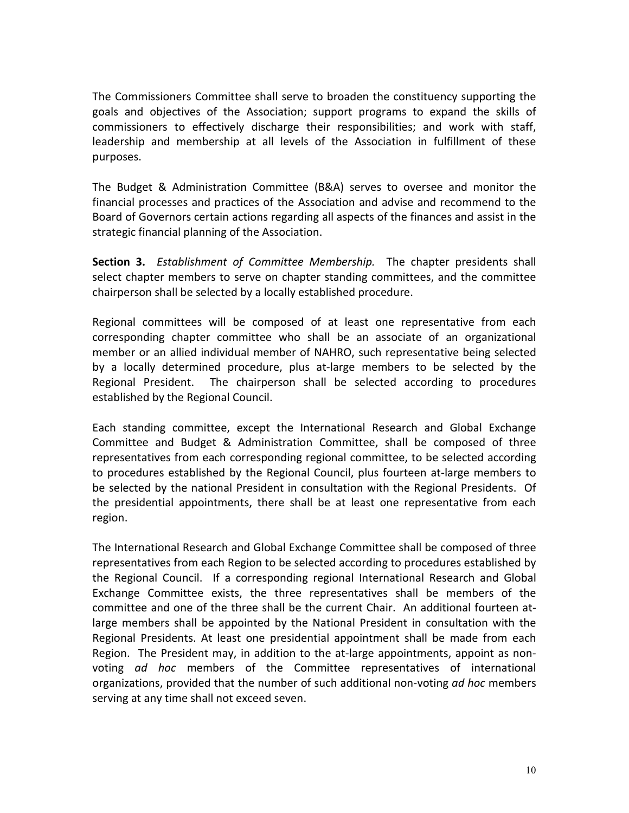The Commissioners Committee shall serve to broaden the constituency supporting the goals and objectives of the Association; support programs to expand the skills of commissioners to effectively discharge their responsibilities; and work with staff, leadership and membership at all levels of the Association in fulfillment of these purposes.

The Budget & Administration Committee (B&A) serves to oversee and monitor the financial processes and practices of the Association and advise and recommend to the Board of Governors certain actions regarding all aspects of the finances and assist in the strategic financial planning of the Association.

**Section 3.** *Establishment of Committee Membership.* The chapter presidents shall select chapter members to serve on chapter standing committees, and the committee chairperson shall be selected by a locally established procedure.

Regional committees will be composed of at least one representative from each corresponding chapter committee who shall be an associate of an organizational member or an allied individual member of NAHRO, such representative being selected by a locally determined procedure, plus at-large members to be selected by the Regional President. The chairperson shall be selected according to procedures established by the Regional Council.

Each standing committee, except the International Research and Global Exchange Committee and Budget & Administration Committee, shall be composed of three representatives from each corresponding regional committee, to be selected according to procedures established by the Regional Council, plus fourteen at-large members to be selected by the national President in consultation with the Regional Presidents. Of the presidential appointments, there shall be at least one representative from each region.

The International Research and Global Exchange Committee shall be composed of three representatives from each Region to be selected according to procedures established by the Regional Council. If a corresponding regional International Research and Global Exchange Committee exists, the three representatives shall be members of the committee and one of the three shall be the current Chair. An additional fourteen atlarge members shall be appointed by the National President in consultation with the Regional Presidents. At least one presidential appointment shall be made from each Region. The President may, in addition to the at-large appointments, appoint as nonvoting *ad hoc* members of the Committee representatives of international organizations, provided that the number of such additional non-voting *ad hoc* members serving at any time shall not exceed seven.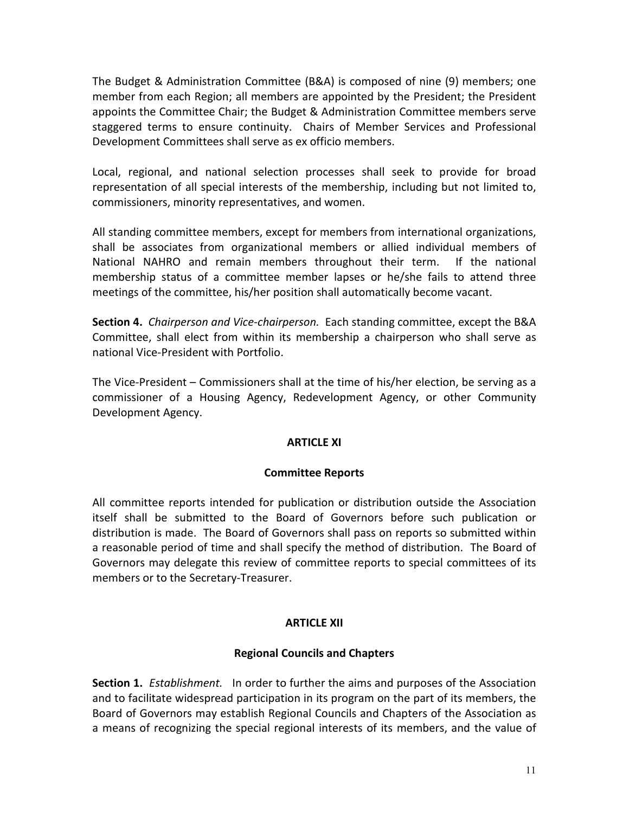The Budget & Administration Committee (B&A) is composed of nine (9) members; one member from each Region; all members are appointed by the President; the President appoints the Committee Chair; the Budget & Administration Committee members serve staggered terms to ensure continuity. Chairs of Member Services and Professional Development Committees shall serve as ex officio members.

Local, regional, and national selection processes shall seek to provide for broad representation of all special interests of the membership, including but not limited to, commissioners, minority representatives, and women.

All standing committee members, except for members from international organizations, shall be associates from organizational members or allied individual members of National NAHRO and remain members throughout their term. If the national membership status of a committee member lapses or he/she fails to attend three meetings of the committee, his/her position shall automatically become vacant.

**Section 4.** *Chairperson and Vice-chairperson.* Each standing committee, except the B&A Committee, shall elect from within its membership a chairperson who shall serve as national Vice-President with Portfolio.

The Vice-President – Commissioners shall at the time of his/her election, be serving as a commissioner of a Housing Agency, Redevelopment Agency, or other Community Development Agency.

# **ARTICLE XI**

# **Committee Reports**

All committee reports intended for publication or distribution outside the Association itself shall be submitted to the Board of Governors before such publication or distribution is made. The Board of Governors shall pass on reports so submitted within a reasonable period of time and shall specify the method of distribution. The Board of Governors may delegate this review of committee reports to special committees of its members or to the Secretary-Treasurer.

# **ARTICLE XII**

# **Regional Councils and Chapters**

**Section 1.** *Establishment.* In order to further the aims and purposes of the Association and to facilitate widespread participation in its program on the part of its members, the Board of Governors may establish Regional Councils and Chapters of the Association as a means of recognizing the special regional interests of its members, and the value of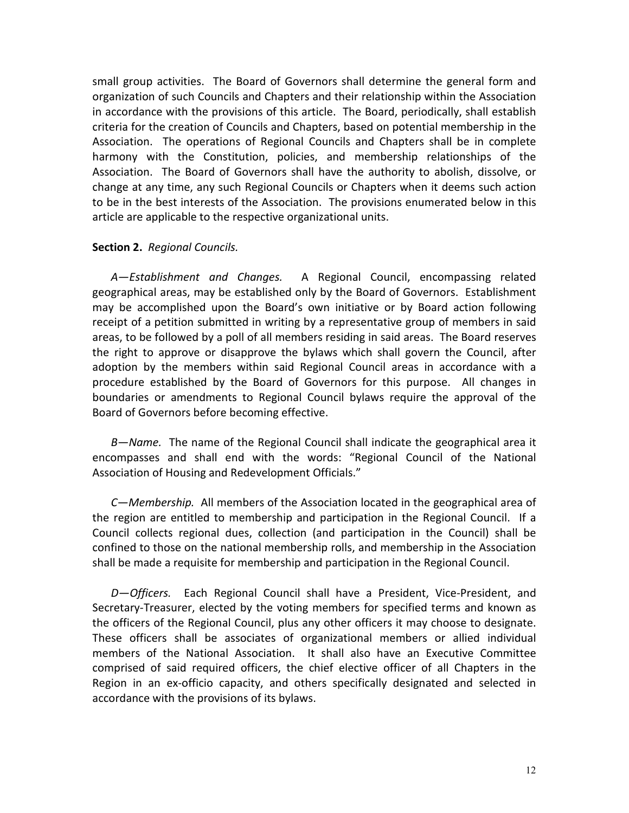small group activities. The Board of Governors shall determine the general form and organization of such Councils and Chapters and their relationship within the Association in accordance with the provisions of this article. The Board, periodically, shall establish criteria for the creation of Councils and Chapters, based on potential membership in the Association. The operations of Regional Councils and Chapters shall be in complete harmony with the Constitution, policies, and membership relationships of the Association. The Board of Governors shall have the authority to abolish, dissolve, or change at any time, any such Regional Councils or Chapters when it deems such action to be in the best interests of the Association. The provisions enumerated below in this article are applicable to the respective organizational units.

## **Section 2.** *Regional Councils.*

*A—Establishment and Changes.* A Regional Council, encompassing related geographical areas, may be established only by the Board of Governors. Establishment may be accomplished upon the Board's own initiative or by Board action following receipt of a petition submitted in writing by a representative group of members in said areas, to be followed by a poll of all members residing in said areas. The Board reserves the right to approve or disapprove the bylaws which shall govern the Council, after adoption by the members within said Regional Council areas in accordance with a procedure established by the Board of Governors for this purpose. All changes in boundaries or amendments to Regional Council bylaws require the approval of the Board of Governors before becoming effective.

*B—Name.* The name of the Regional Council shall indicate the geographical area it encompasses and shall end with the words: "Regional Council of the National Association of Housing and Redevelopment Officials."

*C—Membership.* All members of the Association located in the geographical area of the region are entitled to membership and participation in the Regional Council. If a Council collects regional dues, collection (and participation in the Council) shall be confined to those on the national membership rolls, and membership in the Association shall be made a requisite for membership and participation in the Regional Council.

*D—Officers.* Each Regional Council shall have a President, Vice-President, and Secretary-Treasurer, elected by the voting members for specified terms and known as the officers of the Regional Council, plus any other officers it may choose to designate. These officers shall be associates of organizational members or allied individual members of the National Association. It shall also have an Executive Committee comprised of said required officers, the chief elective officer of all Chapters in the Region in an ex-officio capacity, and others specifically designated and selected in accordance with the provisions of its bylaws.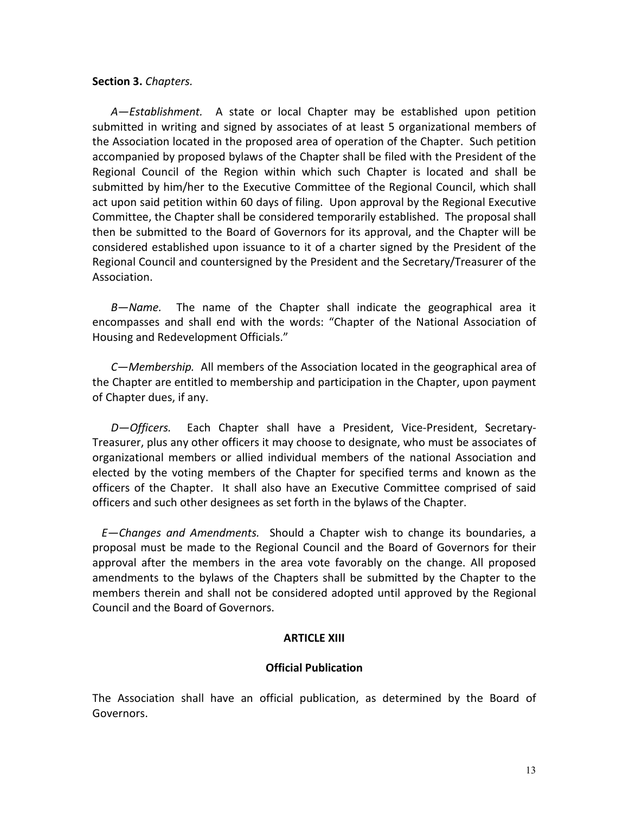### **Section 3.** *Chapters.*

*A—Establishment.* A state or local Chapter may be established upon petition submitted in writing and signed by associates of at least 5 organizational members of the Association located in the proposed area of operation of the Chapter. Such petition accompanied by proposed bylaws of the Chapter shall be filed with the President of the Regional Council of the Region within which such Chapter is located and shall be submitted by him/her to the Executive Committee of the Regional Council, which shall act upon said petition within 60 days of filing. Upon approval by the Regional Executive Committee, the Chapter shall be considered temporarily established. The proposal shall then be submitted to the Board of Governors for its approval, and the Chapter will be considered established upon issuance to it of a charter signed by the President of the Regional Council and countersigned by the President and the Secretary/Treasurer of the Association.

*B—Name.* The name of the Chapter shall indicate the geographical area it encompasses and shall end with the words: "Chapter of the National Association of Housing and Redevelopment Officials."

*C—Membership.* All members of the Association located in the geographical area of the Chapter are entitled to membership and participation in the Chapter, upon payment of Chapter dues, if any.

*D—Officers.* Each Chapter shall have a President, Vice-President, Secretary-Treasurer, plus any other officers it may choose to designate, who must be associates of organizational members or allied individual members of the national Association and elected by the voting members of the Chapter for specified terms and known as the officers of the Chapter. It shall also have an Executive Committee comprised of said officers and such other designees as set forth in the bylaws of the Chapter.

*E—Changes and Amendments.* Should a Chapter wish to change its boundaries, a proposal must be made to the Regional Council and the Board of Governors for their approval after the members in the area vote favorably on the change. All proposed amendments to the bylaws of the Chapters shall be submitted by the Chapter to the members therein and shall not be considered adopted until approved by the Regional Council and the Board of Governors.

# **ARTICLE XIII**

# **Official Publication**

The Association shall have an official publication, as determined by the Board of Governors.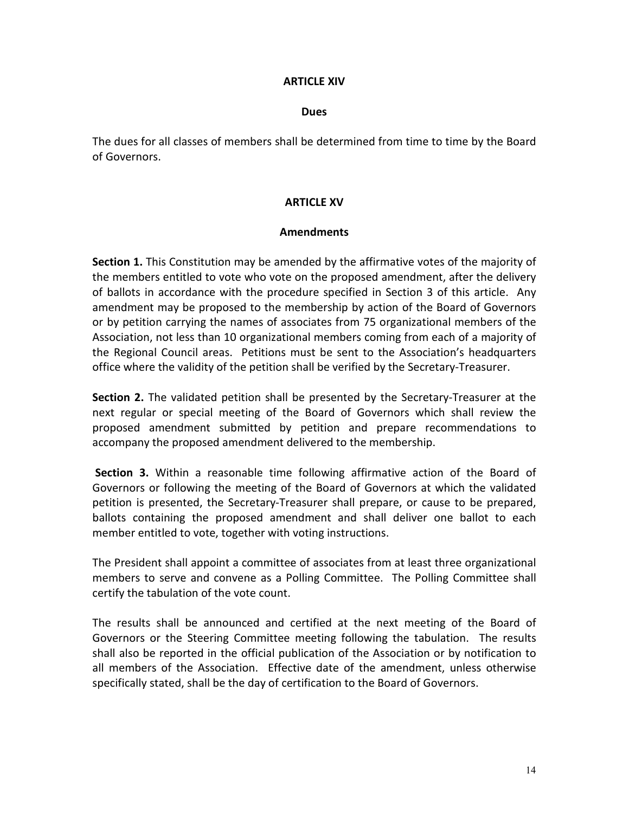## **ARTICLE XIV**

#### **Dues**

The dues for all classes of members shall be determined from time to time by the Board of Governors.

## **ARTICLE XV**

## **Amendments**

**Section 1.** This Constitution may be amended by the affirmative votes of the majority of the members entitled to vote who vote on the proposed amendment, after the delivery of ballots in accordance with the procedure specified in Section 3 of this article. Any amendment may be proposed to the membership by action of the Board of Governors or by petition carrying the names of associates from 75 organizational members of the Association, not less than 10 organizational members coming from each of a majority of the Regional Council areas. Petitions must be sent to the Association's headquarters office where the validity of the petition shall be verified by the Secretary-Treasurer.

**Section 2.** The validated petition shall be presented by the Secretary-Treasurer at the next regular or special meeting of the Board of Governors which shall review the proposed amendment submitted by petition and prepare recommendations to accompany the proposed amendment delivered to the membership.

**Section 3.** Within a reasonable time following affirmative action of the Board of Governors or following the meeting of the Board of Governors at which the validated petition is presented, the Secretary-Treasurer shall prepare, or cause to be prepared, ballots containing the proposed amendment and shall deliver one ballot to each member entitled to vote, together with voting instructions.

The President shall appoint a committee of associates from at least three organizational members to serve and convene as a Polling Committee. The Polling Committee shall certify the tabulation of the vote count.

The results shall be announced and certified at the next meeting of the Board of Governors or the Steering Committee meeting following the tabulation. The results shall also be reported in the official publication of the Association or by notification to all members of the Association. Effective date of the amendment, unless otherwise specifically stated, shall be the day of certification to the Board of Governors.